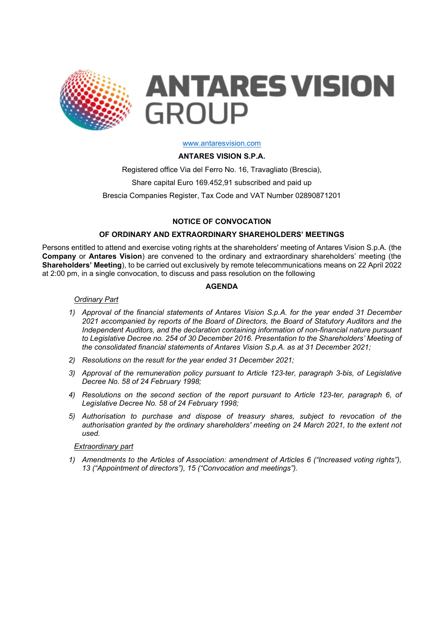

**ANTARES VISION GROUP** 

#### www.antaresvision.com

## ANTARES VISION S.P.A.

Registered office Via del Ferro No. 16, Travagliato (Brescia), Share capital Euro 169.452,91 subscribed and paid up Brescia Companies Register, Tax Code and VAT Number 02890871201

# NOTICE OF CONVOCATION

# OF ORDINARY AND EXTRAORDINARY SHAREHOLDERS' MEETINGS

Persons entitled to attend and exercise voting rights at the shareholders' meeting of Antares Vision S.p.A. (the Company or Antares Vision) are convened to the ordinary and extraordinary shareholders' meeting (the Shareholders' Meeting), to be carried out exclusively by remote telecommunications means on 22 April 2022 at 2:00 pm, in a single convocation, to discuss and pass resolution on the following

## AGENDA

### Ordinary Part

- 1) Approval of the financial statements of Antares Vision S.p.A. for the year ended 31 December 2021 accompanied by reports of the Board of Directors, the Board of Statutory Auditors and the Independent Auditors, and the declaration containing information of non-financial nature pursuant to Legislative Decree no. 254 of 30 December 2016. Presentation to the Shareholders' Meeting of the consolidated financial statements of Antares Vision S.p.A. as at 31 December 2021;
- 2) Resolutions on the result for the year ended 31 December 2021;
- 3) Approval of the remuneration policy pursuant to Article 123-ter, paragraph 3-bis, of Legislative Decree No. 58 of 24 February 1998;
- 4) Resolutions on the second section of the report pursuant to Article 123-ter, paragraph 6, of Legislative Decree No. 58 of 24 February 1998;
- 5) Authorisation to purchase and dispose of treasury shares, subject to revocation of the authorisation granted by the ordinary shareholders' meeting on 24 March 2021, to the extent not used.

#### Extraordinary part

1) Amendments to the Articles of Association: amendment of Articles 6 ("Increased voting rights"), 13 ("Appointment of directors"), 15 ("Convocation and meetings").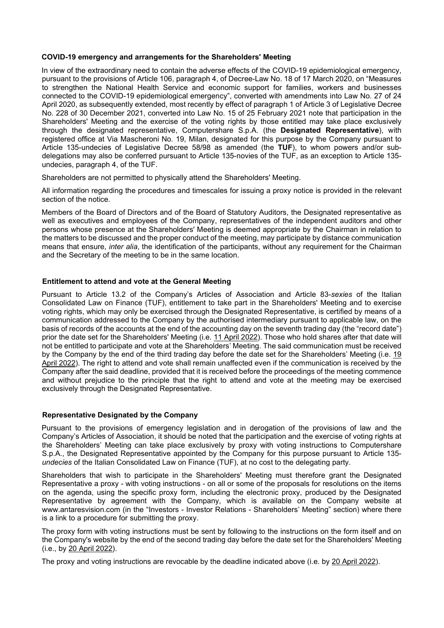#### COVID-19 emergency and arrangements for the Shareholders' Meeting

In view of the extraordinary need to contain the adverse effects of the COVID-19 epidemiological emergency, pursuant to the provisions of Article 106, paragraph 4, of Decree-Law No. 18 of 17 March 2020, on "Measures to strengthen the National Health Service and economic support for families, workers and businesses connected to the COVID-19 epidemiological emergency", converted with amendments into Law No. 27 of 24 April 2020, as subsequently extended, most recently by effect of paragraph 1 of Article 3 of Legislative Decree No. 228 of 30 December 2021, converted into Law No. 15 of 25 February 2021 note that participation in the Shareholders' Meeting and the exercise of the voting rights by those entitled may take place exclusively through the designated representative, Computershare S.p.A. (the Designated Representative), with registered office at Via Mascheroni No. 19, Milan, designated for this purpose by the Company pursuant to Article 135-undecies of Legislative Decree 58/98 as amended (the TUF), to whom powers and/or subdelegations may also be conferred pursuant to Article 135-novies of the TUF, as an exception to Article 135 undecies, paragraph 4, of the TUF.

Shareholders are not permitted to physically attend the Shareholders' Meeting.

All information regarding the procedures and timescales for issuing a proxy notice is provided in the relevant section of the notice.

Members of the Board of Directors and of the Board of Statutory Auditors, the Designated representative as well as executives and employees of the Company, representatives of the independent auditors and other persons whose presence at the Shareholders' Meeting is deemed appropriate by the Chairman in relation to the matters to be discussed and the proper conduct of the meeting, may participate by distance communication means that ensure, inter alia, the identification of the participants, without any requirement for the Chairman and the Secretary of the meeting to be in the same location.

### Entitlement to attend and vote at the General Meeting

Pursuant to Article 13.2 of the Company's Articles of Association and Article 83-sexies of the Italian Consolidated Law on Finance (TUF), entitlement to take part in the Shareholders' Meeting and to exercise voting rights, which may only be exercised through the Designated Representative, is certified by means of a communication addressed to the Company by the authorised intermediary pursuant to applicable law, on the basis of records of the accounts at the end of the accounting day on the seventh trading day (the "record date") prior the date set for the Shareholders' Meeting (i.e. 11 April 2022). Those who hold shares after that date will not be entitled to participate and vote at the Shareholders' Meeting. The said communication must be received by the Company by the end of the third trading day before the date set for the Shareholders' Meeting (i.e. 19 April 2022). The right to attend and vote shall remain unaffected even if the communication is received by the Company after the said deadline, provided that it is received before the proceedings of the meeting commence and without prejudice to the principle that the right to attend and vote at the meeting may be exercised exclusively through the Designated Representative.

## Representative Designated by the Company

Pursuant to the provisions of emergency legislation and in derogation of the provisions of law and the Company's Articles of Association, it should be noted that the participation and the exercise of voting rights at the Shareholders' Meeting can take place exclusively by proxy with voting instructions to Computershare S.p.A., the Designated Representative appointed by the Company for this purpose pursuant to Article 135 undecies of the Italian Consolidated Law on Finance (TUF), at no cost to the delegating party.

Shareholders that wish to participate in the Shareholders' Meeting must therefore grant the Designated Representative a proxy - with voting instructions - on all or some of the proposals for resolutions on the items on the agenda, using the specific proxy form, including the electronic proxy, produced by the Designated Representative by agreement with the Company, which is available on the Company website at www.antaresvision.com (in the "Investors - Investor Relations - Shareholders' Meeting" section) where there is a link to a procedure for submitting the proxy.

The proxy form with voting instructions must be sent by following to the instructions on the form itself and on the Company's website by the end of the second trading day before the date set for the Shareholders' Meeting (i.e., by 20 April 2022).

The proxy and voting instructions are revocable by the deadline indicated above (i.e. by 20 April 2022).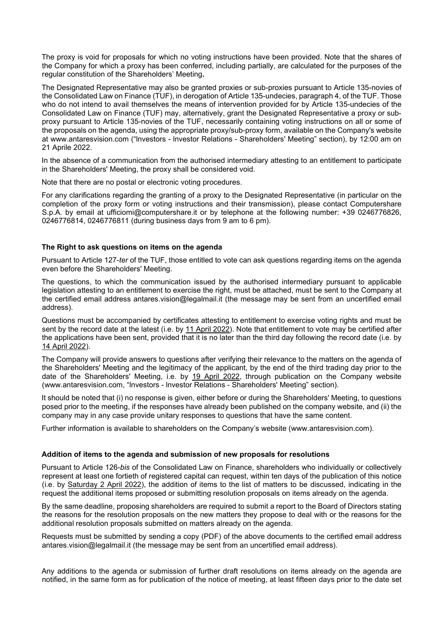The proxy is void for proposals for which no voting instructions have been provided. Note that the shares of the Company for which a proxy has been conferred, including partially, are calculated for the purposes of the regular constitution of the Shareholders' Meeting.

The Designated Representative may also be granted proxies or sub-proxies pursuant to Article 135-novies of the Consolidated Law on Finance (TUF), in derogation of Article 135-undecies, paragraph 4, of the TUF. Those who do not intend to avail themselves the means of intervention provided for by Article 135-undecies of the Consolidated Law on Finance (TUF) may, alternatively, grant the Designated Representative a proxy or subproxy pursuant to Article 135-novies of the TUF, necessarily containing voting instructions on all or some of the proposals on the agenda, using the appropriate proxy/sub-proxy form, available on the Company's website at www.antaresvision.com ("lnvestors - lnvestor Relations - Shareholders' Meeting" section), by 12:00 am on 21 Aprile 2022.

In the absence of a communication from the authorised intermediary attesting to an entitlement to participate in the Shareholders' Meeting, the proxy shall be considered void.

Note that there are no postal or electronic voting procedures.

For any clarifications regarding the granting of a proxy to the Designated Representative (in particular on the completion of the proxy form or voting instructions and their transmission), please contact Computershare S.p.A. by email at ufficiomi@computershare.it or by telephone at the following number: +39 0246776826, 0246776814, 0246776811 (during business days from 9 am to 6 pm).

#### The Right to ask questions on items on the agenda

Pursuant to Article 127-ter of the TUF, those entitled to vote can ask questions regarding items on the agenda even before the Shareholders' Meeting.

The questions, to which the communication issued by the authorised intermediary pursuant to applicable legislation attesting to an entitlement to exercise the right, must be attached, must be sent to the Company at the certified email address antares.vision@legalmail.it (the message may be sent from an uncertified email address).

Questions must be accompanied by certificates attesting to entitlement to exercise voting rights and must be sent by the record date at the latest (i.e. by 11 April 2022). Note that entitlement to vote may be certified after the applications have been sent, provided that it is no later than the third day following the record date (i.e. by 14 April 2022).

The Company will provide answers to questions after verifying their relevance to the matters on the agenda of the Shareholders' Meeting and the legitimacy of the applicant, by the end of the third trading day prior to the date of the Shareholders' Meeting, i.e. by 19 April 2022, through publication on the Company website (www.antaresvision.com, "lnvestors - lnvestor Relations - Shareholders' Meeting" section).

It should be noted that (i) no response is given, either before or during the Shareholders' Meeting, to questions posed prior to the meeting, if the responses have already been published on the company website, and (ii) the company may in any case provide unitary responses to questions that have the same content.

Further information is available to shareholders on the Company's website (www.antaresvision.com).

#### Addition of items to the agenda and submission of new proposals for resolutions

Pursuant to Article 126-bis of the Consolidated Law on Finance, shareholders who individually or collectively represent at least one fortieth of registered capital can request, within ten days of the publication of this notice (i.e. by Saturday 2 April 2022), the addition of items to the list of matters to be discussed, indicating in the request the additional items proposed or submitting resolution proposals on items already on the agenda.

By the same deadline, proposing shareholders are required to submit a report to the Board of Directors stating the reasons for the resolution proposals on the new matters they propose to deal with or the reasons for the additional resolution proposals submitted on matters already on the agenda.

Requests must be submitted by sending a copy (PDF) of the above documents to the certified email address antares.vision@legalmail.it (the message may be sent from an uncertified email address).

Any additions to the agenda or submission of further draft resolutions on items already on the agenda are notified, in the same form as for publication of the notice of meeting, at least fifteen days prior to the date set